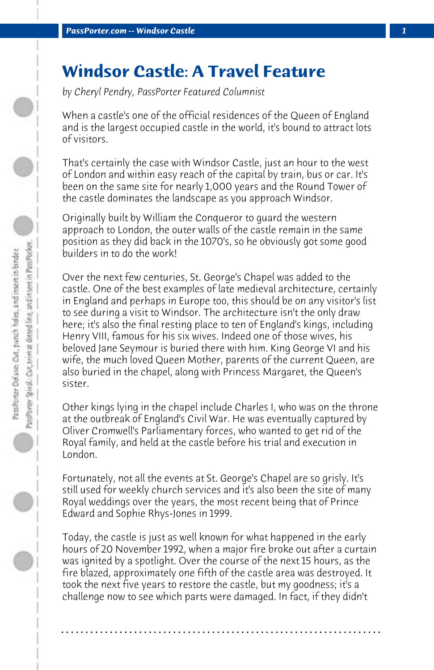## **Windsor Castle: A Travel Feature**

*by Cheryl Pendry, PassPorter Featured Columnist*

When a castle's one of the official residences of the Queen of England and is the largest occupied castle in the world, it's bound to attract lots of visitors.

That's certainly the case with Windsor Castle, just an hour to the west of London and within easy reach of the capital by train, bus or car. It's been on the same site for nearly 1,000 years and the Round Tower of the castle dominates the landscape as you approach Windsor.

Originally built by William the Conqueror to guard the western approach to London, the outer walls of the castle remain in the same position as they did back in the 1070's, so he obviously got some good builders in to do the work!

Over the next few centuries, St. George's Chapel was added to the castle. One of the best examples of late medieval architecture, certainly in England and perhaps in Europe too, this should be on any visitor's list to see during a visit to Windsor. The architecture isn't the only draw here; it's also the final resting place to ten of England's kings, including Henry VIII, famous for his six wives. Indeed one of those wives, his beloved Jane Seymour is buried there with him. King George VI and his wife, the much loved Queen Mother, parents of the current Queen, are also buried in the chapel, along with Princess Margaret, the Queen's sister.

Other kings lying in the chapel include Charles I, who was on the throne at the outbreak of England's Civil War. He was eventually captured by Oliver Cromwell's Parliamentary forces, who wanted to get rid of the Royal family, and held at the castle before his trial and execution in London.

Fortunately, not all the events at St. George's Chapel are so grisly. It's still used for weekly church services and it's also been the site of many Royal weddings over the years, the most recent being that of Prince Edward and Sophie Rhys-Jones in 1999.

Today, the castle is just as well known for what happened in the early hours of 20 November 1992, when a major fire broke out after a curtain was ignited by a spotlight. Over the course of the next 15 hours, as the fire blazed, approximately one fifth of the castle area was destroyed. It took the next five years to restore the castle, but my goodness; it's a challenge now to see which parts were damaged. In fact, if they didn't

**. . . . . . . . . . . . . . . . . . . . . . . . . . . . . . . . . . . . . . . . . . . . . . . . . . . . . . . . . . . . . . . . . .**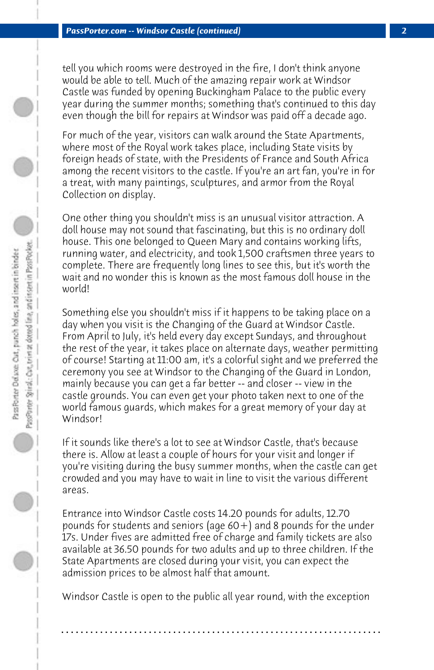tell you which rooms were destroyed in the fire, I don't think anyone would be able to tell. Much of the amazing repair work at Windsor Castle was funded by opening Buckingham Palace to the public every year during the summer months; something that's continued to this day even though the bill for repairs at Windsor was paid off a decade ago.

For much of the year, visitors can walk around the State Apartments, where most of the Royal work takes place, including State visits by foreign heads of state, with the Presidents of France and South Africa among the recent visitors to the castle. If you're an art fan, you're in for a treat, with many paintings, sculptures, and armor from the Royal Collection on display.

One other thing you shouldn't miss is an unusual visitor attraction. A doll house may not sound that fascinating, but this is no ordinary doll house. This one belonged to Queen Mary and contains working lifts, running water, and electricity, and took 1,500 craftsmen three years to complete. There are frequently long lines to see this, but it's worth the wait and no wonder this is known as the most famous doll house in the world!

Something else you shouldn't miss if it happens to be taking place on a day when you visit is the Changing of the Guard at Windsor Castle. From April to July, it's held every day except Sundays, and throughout the rest of the year, it takes place on alternate days, weather permitting of course! Starting at 11:00 am, it's a colorful sight and we preferred the ceremony you see at Windsor to the Changing of the Guard in London, mainly because you can get a far better -- and closer -- view in the castle grounds. You can even get your photo taken next to one of the world famous guards, which makes for a great memory of your day at Windsor!

If it sounds like there's a lot to see at Windsor Castle, that's because there is. Allow at least a couple of hours for your visit and longer if you're visiting during the busy summer months, when the castle can get crowded and you may have to wait in line to visit the various different areas.

Entrance into Windsor Castle costs 14.20 pounds for adults, 12.70 pounds for students and seniors (age 60+) and 8 pounds for the under 17s. Under fives are admitted free of charge and family tickets are also available at 36.50 pounds for two adults and up to three children. If the State Apartments are closed during your visit, you can expect the admission prices to be almost half that amount.

Windsor Castle is open to the public all year round, with the exception

**. . . . . . . . . . . . . . . . . . . . . . . . . . . . . . . . . . . . . . . . . . . . . . . . . . . . . . . . . . . . . . . . . .**